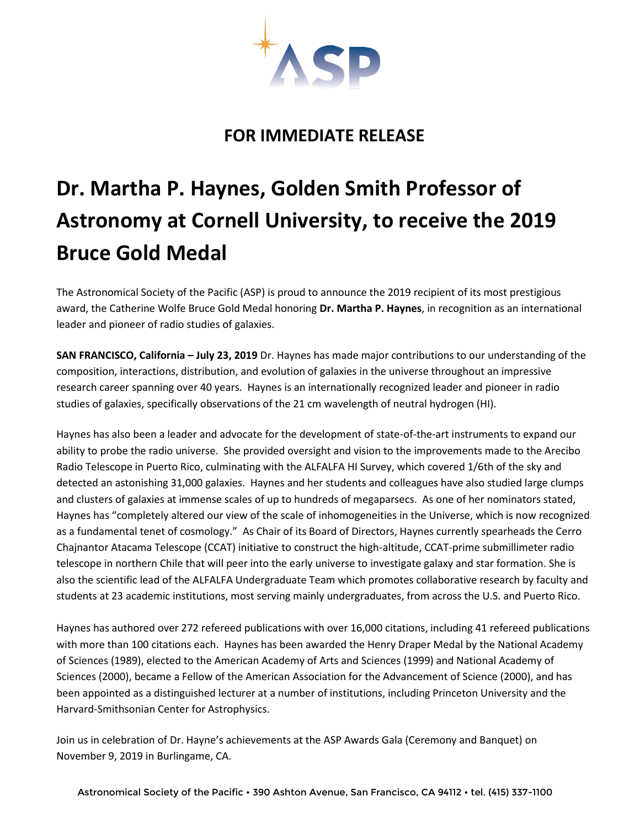

## **FOR IMMEDIATE RELEASE**

## **Dr. Martha P. Haynes, Golden Smith Professor of Astronomy at Cornell University, to receive the 2019 Bruce Gold Medal**

The Astronomical Society of the Pacific (ASP) is proud to announce the 2019 recipient of its most prestigious award, the Catherine Wolfe Bruce Gold Medal honoring **Dr. Martha P. Haynes**, in recognition as an international leader and pioneer of radio studies of galaxies.

**SAN FRANCISCO, California – July 23, 2019** Dr. Haynes has made major contributions to our understanding of the composition, interactions, distribution, and evolution of galaxies in the universe throughout an impressive research career spanning over 40 years. Haynes is an internationally recognized leader and pioneer in radio studies of galaxies, specifically observations of the 21 cm wavelength of neutral hydrogen (HI).

Haynes has also been a leader and advocate for the development of state-of-the-art instruments to expand our ability to probe the radio universe. She provided oversight and vision to the improvements made to the Arecibo Radio Telescope in Puerto Rico, culminating with the ALFALFA HI Survey, which covered 1/6th of the sky and detected an astonishing 31,000 galaxies. Haynes and her students and colleagues have also studied large clumps and clusters of galaxies at immense scales of up to hundreds of megaparsecs. As one of her nominators stated, Haynes has "completely altered our view of the scale of inhomogeneities in the Universe, which is now recognized as a fundamental tenet of cosmology." As Chair of its Board of Directors, Haynes currently spearheads the Cerro Chajnantor Atacama Telescope (CCAT) initiative to construct the high-altitude, CCAT-prime submillimeter radio telescope in northern Chile that will peer into the early universe to investigate galaxy and star formation. She is also the scientific lead of the ALFALFA Undergraduate Team which promotes collaborative research by faculty and students at 23 academic institutions, most serving mainly undergraduates, from across the U.S. and Puerto Rico.

Haynes has authored over 272 refereed publications with over 16,000 citations, including 41 refereed publications with more than 100 citations each. Haynes has been awarded the Henry Draper Medal by the National Academy of Sciences (1989), elected to the American Academy of Arts and Sciences (1999) and National Academy of Sciences (2000), became a Fellow of the American Association for the Advancement of Science (2000), and has been appointed as a distinguished lecturer at a number of institutions, including Princeton University and the Harvard-Smithsonian Center for Astrophysics.

Join us in celebration of Dr. Hayne's achievements at the ASP Awards Gala (Ceremony and Banquet) on November 9, 2019 in Burlingame, CA.